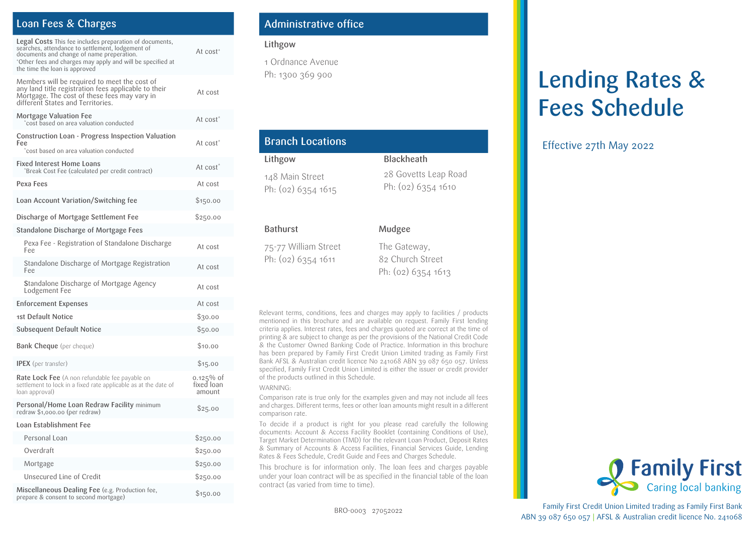# Loan Fees & Charges

| Legal Costs This fee includes preparation of documents,<br>searches, attendance to settlement, lodgement of<br>documents and change of name preperation.<br>*Other fees and charges may apply and will be specified at<br>the time the loan is approved | At cost <sup>+</sup>                 |
|---------------------------------------------------------------------------------------------------------------------------------------------------------------------------------------------------------------------------------------------------------|--------------------------------------|
| Members will be required to meet the cost of<br>any land title registration fees applicable to their<br>Mortgage. The cost of these fees may vary in<br>different States and Territories.                                                               | At cost                              |
| Mortgage Valuation Fee<br>cost based on area valuation conducted                                                                                                                                                                                        | At cost <sup>*</sup>                 |
| Construction Loan - Progress Inspection Valuation<br>Fee<br>cost based on area valuation conducted                                                                                                                                                      | At cost <sup>*</sup>                 |
| <b>Fixed Interest Home Loans</b><br>Break Cost Fee (calculated per credit contract)                                                                                                                                                                     | At cost <sup>*</sup>                 |
| Pexa Fees                                                                                                                                                                                                                                               | At cost                              |
| Loan Account Variation/Switching fee                                                                                                                                                                                                                    | \$150.00                             |
| Discharge of Mortgage Settlement Fee                                                                                                                                                                                                                    | \$250.00                             |
| Standalone Discharge of Mortgage Fees                                                                                                                                                                                                                   |                                      |
| Pexa Fee - Registration of Standalone Discharge<br>Fee                                                                                                                                                                                                  | At cost                              |
| Standalone Discharge of Mortgage Registration<br>Fee                                                                                                                                                                                                    | At cost                              |
| Standalone Discharge of Mortgage Agency<br>Lodgement Fee                                                                                                                                                                                                | At cost                              |
| Enforcement Expenses                                                                                                                                                                                                                                    | At cost                              |
| 1st Default Notice                                                                                                                                                                                                                                      | \$30.00                              |
| Subsequent Default Notice                                                                                                                                                                                                                               | \$50.00                              |
| <b>Bank Cheque</b> (per cheque)                                                                                                                                                                                                                         | \$10.00                              |
| <b>IPEX</b> (per transfer)                                                                                                                                                                                                                              | \$15.00                              |
| <b>Rate Lock Fee</b> (A non refundable fee payable on<br>settlement to lock in a fixed rate applicable as at the date of<br>loan approval)                                                                                                              | $0.125\%$ of<br>fixed loan<br>amount |
| Personal/Home Loan Redraw Facility minimum<br>redraw \$1,000.00 (per redraw)                                                                                                                                                                            | \$25.00                              |
| Loan Establishment Fee                                                                                                                                                                                                                                  |                                      |
| Personal Loan                                                                                                                                                                                                                                           | \$250.00                             |
| Overdraft                                                                                                                                                                                                                                               | \$250.00                             |
| Mortgage                                                                                                                                                                                                                                                | \$250.00                             |
| Unsecured Line of Credit                                                                                                                                                                                                                                | \$250.00                             |
| Miscellaneous Dealing Fee (e.g. Production fee,<br>prepare & consent to second mortgage)                                                                                                                                                                | \$150.00                             |

# Administrative office

#### Lithgow

1 Ordnance Avenue Ph: 1300 369 900

| <b>Branch Locations</b>                      |                                                          |
|----------------------------------------------|----------------------------------------------------------|
| Lithgow                                      | <b>Blackheath</b>                                        |
| 148 Main Street<br>Ph: (02) 6354 1615        | 28 Govetts Leap Road<br>Ph: (02) 6354 1610               |
| <b>Bathurst</b>                              | Mudgee                                                   |
| 75-77 William Street<br>Ph: $(02)$ 6354 1611 | The Gateway,<br>82 Church Street<br>Ph: $(02)$ 6354 1613 |

Relevant terms, conditions, fees and charges may apply to facilities / products mentioned in this brochure and are available on request. Family First lending criteria applies. Interest rates, fees and charges quoted are correct at the time of printing & are subject to change as per the provisions of the National Credit Code & the Customer Owned Banking Code of Practice. Information in this brochure has been prepared by Family First Credit Union Limited trading as Family First Bank AFSL & Australian credit licence No 241068 ABN 39 087 650 057. Unless specified, Family First Credit Union Limited is either the issuer or credit provider of the products outlined in this Schedule.

#### WARNING:

Comparison rate is true only for the examples given and may not include all fees and charges. Different terms, fees or other loan amounts might result in a different comparison rate.

To decide if a product is right for you please read carefully the following documents: Account & Access Facility Booklet (containing Conditions of Use), Target Market Determination (TMD) for the relevant Loan Product, Deposit Rates & Summary of Accounts & Access Facilities, Financial Services Guide, Lending Rates & Fees Schedule, Credit Guide and Fees and Charges Schedule.

This brochure is for information only. The loan fees and charges payable under your loan contract will be as specified in the financial table of the loan contract (as varied from time to time).

# Lending Rates & Fees Schedule

### Effective 27th May 2022



Family First Credit Union Limited trading as Family First Bank ABN 39 087 650 057 | AFSL & Australian credit licence No. 241068